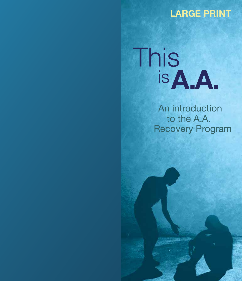#### LARGE PRINT



An introduction to the A.A. Recovery Program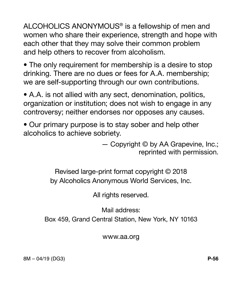ALCOHOLICS ANONYMOUS® is a fellowship of men and women who share their experience, strength and hope with each other that they may solve their common problem and help others to recover from alcoholism.

• The only requirement for membership is a desire to stop drinking. There are no dues or fees for A.A. membership; we are self-supporting through our own contributions.

• A.A. is not allied with any sect, denomination, politics, organization or institution; does not wish to engage in any controversy; neither endorses nor opposes any causes.

• Our primary purpose is to stay sober and help other alcoholics to achieve sobriety.

> — Copyright © by AA Grapevine, Inc.; reprinted with permission.

Revised large-print format copyright © 2018 by Alcoholics Anonymous World Services, Inc.

All rights reserved.

Mail address:

Box 459, Grand Central Station, New York, NY 10163

www.aa.org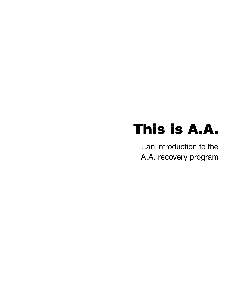# This is A.A.

…an introduction to the A.A. recovery program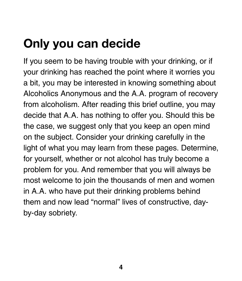# Only you can decide

If you seem to be having trouble with your drinking, or if your drinking has reached the point where it worries you a bit, you may be interested in knowing something about Alcoholics Anonymous and the A.A. program of recovery from alcoholism. After reading this brief outline, you may decide that A.A. has nothing to offer you. Should this be the case, we suggest only that you keep an open mind on the subject. Consider your drinking carefully in the light of what you may learn from these pages. Determine, for yourself, whether or not alcohol has truly become a problem for you. And remember that you will always be most welcome to join the thousands of men and women in A.A. who have put their drinking problems behind them and now lead "normal" lives of constructive, dayby-day sobriety.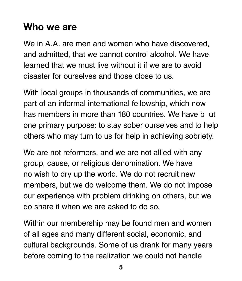### Who we are

We in A.A. are men and women who have discovered, and admitted, that we cannot control alcohol. We have learned that we must live without it if we are to avoid disaster for ourselves and those close to us.

With local groups in thousands of communities, we are part of an informal international fellowship, which now has members in more than 180 countries. We have b ut one primary purpose: to stay sober ourselves and to help others who may turn to us for help in achieving sobriety.

We are not reformers, and we are not allied with any group, cause, or religious denomination. We have no wish to dry up the world. We do not recruit new members, but we do welcome them. We do not impose our experience with problem drinking on others, but we do share it when we are asked to do so.

Within our membership may be found men and women of all ages and many different social, economic, and cultural backgrounds. Some of us drank for many years before coming to the realization we could not handle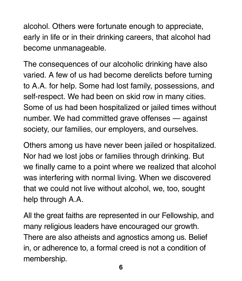alcohol. Others were fortunate enough to appreciate, early in life or in their drinking careers, that alcohol had become unmanageable.

The consequences of our alcoholic drinking have also varied. A few of us had become derelicts before turning to A.A. for help. Some had lost family, possessions, and self-respect. We had been on skid row in many cities. Some of us had been hospitalized or jailed times without number. We had committed grave offenses — against society, our families, our employers, and ourselves.

Others among us have never been jailed or hospitalized. Nor had we lost jobs or families through drinking. But we finally came to a point where we realized that alcohol was interfering with normal living. When we discovered that we could not live without alcohol, we, too, sought help through A.A.

All the great faiths are represented in our Fellowship, and many religious leaders have encouraged our growth. There are also atheists and agnostics among us. Belief in, or adherence to, a formal creed is not a condition of membership.

**6**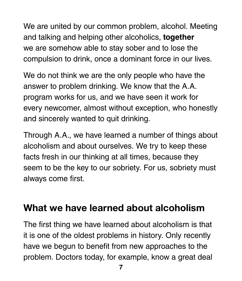We are united by our common problem, alcohol. Meeting and talking and helping other alcoholics, **together**  we are somehow able to stay sober and to lose the compulsion to drink, once a dominant force in our lives.

We do not think we are the only people who have the answer to problem drinking. We know that the A.A. program works for us, and we have seen it work for every newcomer, almost without exception, who honestly and sincerely wanted to quit drinking.

Through A.A., we have learned a number of things about alcoholism and about ourselves. We try to keep these facts fresh in our thinking at all times, because they seem to be the key to our sobriety. For us, sobriety must always come first.

#### What we have learned about alcoholism

The first thing we have learned about alcoholism is that it is one of the oldest problems in history. Only recently have we begun to benefit from new approaches to the problem. Doctors today, for example, know a great deal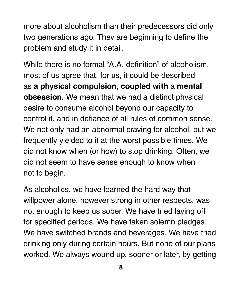more about alcoholism than their predecessors did only two generations ago. They are beginning to define the problem and study it in detail.

While there is no formal "A.A. definition" of alcoholism, most of us agree that, for us, it could be described as **a physical compulsion, coupled with** a **mental obsession.** We mean that we had a distinct physical desire to consume alcohol beyond our capacity to control it, and in defiance of all rules of common sense. We not only had an abnormal craving for alcohol, but we frequently yielded to it at the worst possible times. We did not know when (or how) to stop drinking. Often, we did not seem to have sense enough to know when not to begin.

As alcoholics, we have learned the hard way that willpower alone, however strong in other respects, was not enough to keep us sober. We have tried laying off for specified periods. We have taken solemn pledges. We have switched brands and beverages. We have tried drinking only during certain hours. But none of our plans worked. We always wound up, sooner or later, by getting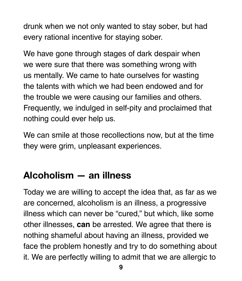drunk when we not only wanted to stay sober, but had every rational incentive for staying sober.

We have gone through stages of dark despair when we were sure that there was something wrong with us mentally. We came to hate ourselves for wasting the talents with which we had been endowed and for the trouble we were causing our families and others. Frequently, we indulged in self-pity and proclaimed that nothing could ever help us.

We can smile at those recollections now, but at the time they were grim, unpleasant experiences.

### Alcoholism — an illness

Today we are willing to accept the idea that, as far as we are concerned, alcoholism is an illness, a progressive illness which can never be "cured," but which, like some other illnesses, **can** be arrested. We agree that there is nothing shameful about having an illness, provided we face the problem honestly and try to do something about it. We are perfectly willing to admit that we are allergic to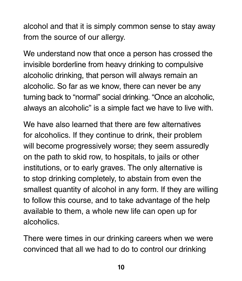alcohol and that it is simply common sense to stay away from the source of our allergy.

We understand now that once a person has crossed the invisible borderline from heavy drinking to compulsive alcoholic drinking, that person will always remain an alcoholic. So far as we know, there can never be any turning back to "normal" social drinking. "Once an alcoholic, always an alcoholic" is a simple fact we have to live with.

We have also learned that there are few alternatives for alcoholics. If they continue to drink, their problem will become progressively worse; they seem assuredly on the path to skid row, to hospitals, to jails or other institutions, or to early graves. The only alternative is to stop drinking completely, to abstain from even the smallest quantity of alcohol in any form. If they are willing to follow this course, and to take advantage of the help available to them, a whole new life can open up for alcoholics.

There were times in our drinking careers when we were convinced that all we had to do to control our drinking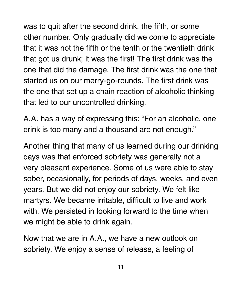was to quit after the second drink, the fifth, or some other number. Only gradually did we come to appreciate that it was not the fifth or the tenth or the twentieth drink that got us drunk; it was the first! The first drink was the one that did the damage. The first drink was the one that started us on our merry-go-rounds. The first drink was the one that set up a chain reaction of alcoholic thinking that led to our uncontrolled drinking.

A.A. has a way of expressing this: "For an alcoholic, one drink is too many and a thousand are not enough."

Another thing that many of us learned during our drinking days was that enforced sobriety was generally not a very pleasant experience. Some of us were able to stay sober, occasionally, for periods of days, weeks, and even years. But we did not enjoy our sobriety. We felt like martyrs. We became irritable, difficult to live and work with. We persisted in looking forward to the time when we might be able to drink again.

Now that we are in A.A., we have a new outlook on sobriety. We enjoy a sense of release, a feeling of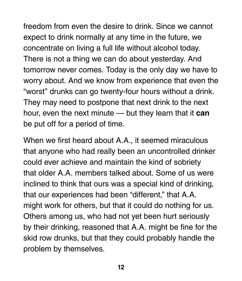freedom from even the desire to drink. Since we cannot expect to drink normally at any time in the future, we concentrate on living a full life without alcohol today. There is not a thing we can do about yesterday. And tomorrow never comes. Today is the only day we have to worry about. And we know from experience that even the "worst" drunks can go twenty-four hours without a drink. They may need to postpone that next drink to the next hour, even the next minute — but they learn that it **can**  be put off for a period of time.

When we first heard about A.A., it seemed miraculous that anyone who had really been an uncontrolled drinker could ever achieve and maintain the kind of sobriety that older A.A. members talked about. Some of us were inclined to think that ours was a special kind of drinking, that our experiences had been "different," that A.A. might work for others, but that it could do nothing for us. Others among us, who had not yet been hurt seriously by their drinking, reasoned that A.A. might be fine for the skid row drunks, but that they could probably handle the problem by themselves.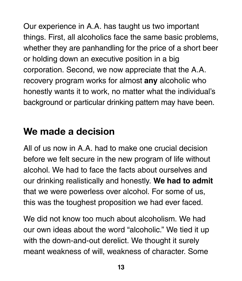Our experience in A.A. has taught us two important things. First, all alcoholics face the same basic problems, whether they are panhandling for the price of a short beer or holding down an executive position in a big corporation. Second, we now appreciate that the A.A. recovery program works for almost **any** alcoholic who honestly wants it to work, no matter what the individual's background or particular drinking pattern may have been.

#### We made a decision

All of us now in A.A. had to make one crucial decision before we felt secure in the new program of life without alcohol. We had to face the facts about ourselves and our drinking realistically and honestly. **We had to admit**  that we were powerless over alcohol. For some of us, this was the toughest proposition we had ever faced.

We did not know too much about alcoholism. We had our own ideas about the word "alcoholic." We tied it up with the down-and-out derelict. We thought it surely meant weakness of will, weakness of character. Some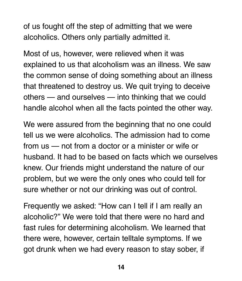of us fought off the step of admitting that we were alcoholics. Others only partially admitted it.

Most of us, however, were relieved when it was explained to us that alcoholism was an illness. We saw the common sense of doing something about an illness that threatened to destroy us. We quit trying to deceive others — and ourselves — into thinking that we could handle alcohol when all the facts pointed the other way.

We were assured from the beginning that no one could tell us we were alcoholics. The admission had to come from us — not from a doctor or a minister or wife or husband. It had to be based on facts which we ourselves knew. Our friends might understand the nature of our problem, but we were the only ones who could tell for sure whether or not our drinking was out of control.

Frequently we asked: "How can I tell if I am really an alcoholic?" We were told that there were no hard and fast rules for determining alcoholism. We learned that there were, however, certain telltale symptoms. If we got drunk when we had every reason to stay sober, if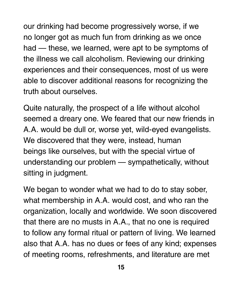our drinking had become progressively worse, if we no longer got as much fun from drinking as we once had — these, we learned, were apt to be symptoms of the illness we call alcoholism. Reviewing our drinking experiences and their consequences, most of us were able to discover additional reasons for recognizing the truth about ourselves.

Quite naturally, the prospect of a life without alcohol seemed a dreary one. We feared that our new friends in A.A. would be dull or, worse yet, wild-eyed evangelists. We discovered that they were, instead, human beings like ourselves, but with the special virtue of understanding our problem — sympathetically, without sitting in judgment.

We began to wonder what we had to do to stay sober, what membership in A.A. would cost, and who ran the organization, locally and worldwide. We soon discovered that there are no musts in A.A., that no one is required to follow any formal ritual or pattern of living. We learned also that A.A. has no dues or fees of any kind; expenses of meeting rooms, refreshments, and literature are met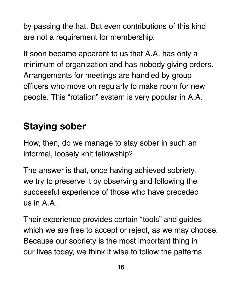by passing the hat. But even contributions of this kind are not a requirement for membership.

It soon became apparent to us that A.A. has only a minimum of organization and has nobody giving orders. Arrangements for meetings are handled by group officers who move on regularly to make room for new people. This "rotation" system is very popular in A.A.

#### Staying sober

How, then, do we manage to stay sober in such an informal, loosely knit fellowship?

The answer is that, once having achieved sobriety, we try to preserve it by observing and following the successful experience of those who have preceded us in A.A.

Their experience provides certain "tools" and guides which we are free to accept or reject, as we may choose. Because our sobriety is the most important thing in our lives today, we think it wise to follow the patterns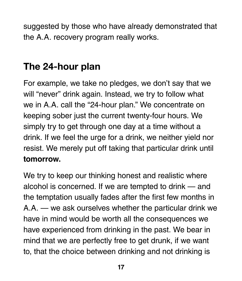suggested by those who have already demonstrated that the A.A. recovery program really works.

#### The 24-hour plan

For example, we take no pledges, we don't say that we will "never" drink again. Instead, we try to follow what we in A.A. call the "24-hour plan." We concentrate on keeping sober just the current twenty-four hours. We simply try to get through one day at a time without a drink. If we feel the urge for a drink, we neither yield nor resist. We merely put off taking that particular drink until **tomorrow.**

We try to keep our thinking honest and realistic where alcohol is concerned. If we are tempted to drink — and the temptation usually fades after the first few months in A.A. — we ask ourselves whether the particular drink we have in mind would be worth all the consequences we have experienced from drinking in the past. We bear in mind that we are perfectly free to get drunk, if we want to, that the choice between drinking and not drinking is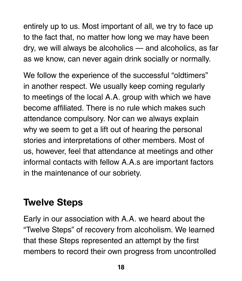entirely up to us. Most important of all, we try to face up to the fact that, no matter how long we may have been dry, we will always be alcoholics — and alcoholics, as far as we know, can never again drink socially or normally.

We follow the experience of the successful "oldtimers" in another respect. We usually keep coming regularly to meetings of the local A.A. group with which we have become affiliated. There is no rule which makes such attendance compulsory. Nor can we always explain why we seem to get a lift out of hearing the personal stories and interpretations of other members. Most of us, however, feel that attendance at meetings and other informal contacts with fellow A.A.s are important factors in the maintenance of our sobriety.

#### Twelve Steps

Early in our association with A.A. we heard about the "Twelve Steps" of recovery from alcoholism. We learned that these Steps represented an attempt by the first members to record their own progress from uncontrolled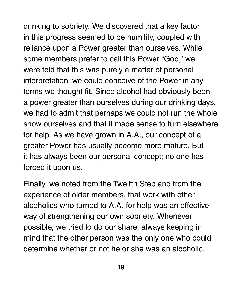drinking to sobriety. We discovered that a key factor in this progress seemed to be humility, coupled with reliance upon a Power greater than ourselves. While some members prefer to call this Power "God," we were told that this was purely a matter of personal interpretation; we could conceive of the Power in any terms we thought fit. Since alcohol had obviously been a power greater than ourselves during our drinking days, we had to admit that perhaps we could not run the whole show ourselves and that it made sense to turn elsewhere for help. As we have grown in A.A., our concept of a greater Power has usually become more mature. But it has always been our personal concept; no one has forced it upon us.

Finally, we noted from the Twelfth Step and from the experience of older members, that work with other alcoholics who turned to A.A. for help was an effective way of strengthening our own sobriety. Whenever possible, we tried to do our share, always keeping in mind that the other person was the only one who could determine whether or not he or she was an alcoholic.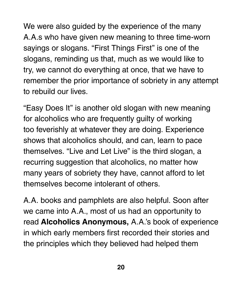We were also guided by the experience of the many A.A.s who have given new meaning to three time-worn sayings or slogans. "First Things First" is one of the slogans, reminding us that, much as we would like to try, we cannot do everything at once, that we have to remember the prior importance of sobriety in any attempt to rebuild our lives.

"Easy Does It" is another old slogan with new meaning for alcoholics who are frequently guilty of working too feverishly at whatever they are doing. Experience shows that alcoholics should, and can, learn to pace themselves. "Live and Let Live" is the third slogan, a recurring suggestion that alcoholics, no matter how many years of sobriety they have, cannot afford to let themselves become intolerant of others.

A.A. books and pamphlets are also helpful. Soon after we came into A.A., most of us had an opportunity to read **Alcoholics Anonymous,** A.A.'s book of experience in which early members first recorded their stories and the principles which they believed had helped them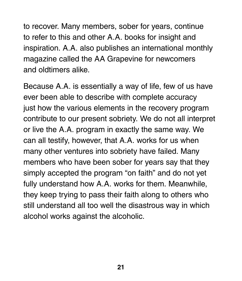to recover. Many members, sober for years, continue to refer to this and other A.A. books for insight and inspiration. A.A. also publishes an international monthly magazine called the AA Grapevine for newcomers and oldtimers alike.

Because A.A. is essentially a way of life, few of us have ever been able to describe with complete accuracy just how the various elements in the recovery program contribute to our present sobriety. We do not all interpret or live the A.A. program in exactly the same way. We can all testify, however, that A.A. works for us when many other ventures into sobriety have failed. Many members who have been sober for years say that they simply accepted the program "on faith" and do not yet fully understand how A.A. works for them. Meanwhile, they keep trying to pass their faith along to others who still understand all too well the disastrous way in which alcohol works against the alcoholic.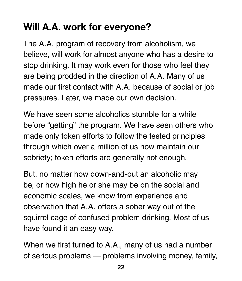### Will A.A. work for everyone?

The A.A. program of recovery from alcoholism, we believe, will work for almost anyone who has a desire to stop drinking. It may work even for those who feel they are being prodded in the direction of A.A. Many of us made our first contact with A.A. because of social or job pressures. Later, we made our own decision.

We have seen some alcoholics stumble for a while before "getting" the program. We have seen others who made only token efforts to follow the tested principles through which over a million of us now maintain our sobriety; token efforts are generally not enough.

But, no matter how down-and-out an alcoholic may be, or how high he or she may be on the social and economic scales, we know from experience and observation that A.A. offers a sober way out of the squirrel cage of confused problem drinking. Most of us have found it an easy way.

When we first turned to A.A., many of us had a number of serious problems — problems involving money, family,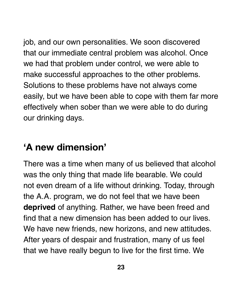job, and our own personalities. We soon discovered that our immediate central problem was alcohol. Once we had that problem under control, we were able to make successful approaches to the other problems. Solutions to these problems have not always come easily, but we have been able to cope with them far more effectively when sober than we were able to do during our drinking days.

### 'A new dimension'

There was a time when many of us believed that alcohol was the only thing that made life bearable. We could not even dream of a life without drinking. Today, through the A.A. program, we do not feel that we have been **deprived** of anything. Rather, we have been freed and find that a new dimension has been added to our lives. We have new friends, new horizons, and new attitudes. After years of despair and frustration, many of us feel that we have really begun to live for the first time. We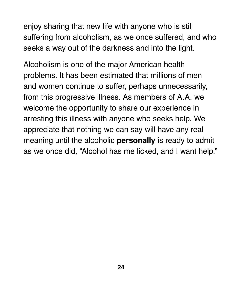enjoy sharing that new life with anyone who is still suffering from alcoholism, as we once suffered, and who seeks a way out of the darkness and into the light.

Alcoholism is one of the major American health problems. It has been estimated that millions of men and women continue to suffer, perhaps unnecessarily, from this progressive illness. As members of A.A. we welcome the opportunity to share our experience in arresting this illness with anyone who seeks help. We appreciate that nothing we can say will have any real meaning until the alcoholic **personally** is ready to admit as we once did, "Alcohol has me licked, and I want help."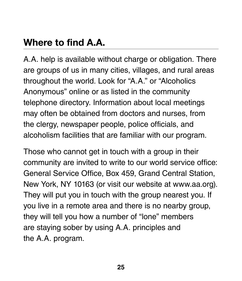### Where to find A.A.

A.A. help is available without charge or obligation. There are groups of us in many cities, villages, and rural areas throughout the world. Look for "A.A." or "Alcoholics Anonymous" online or as listed in the community telephone directory. Information about local meetings may often be obtained from doctors and nurses, from the clergy, newspaper people, police officials, and alcoholism facilities that are familiar with our program.

Those who cannot get in touch with a group in their community are invited to write to our world service office: General Service Office, Box 459, Grand Central Station, New York, NY 10163 (or visit our website at www.aa.org). They will put you in touch with the group nearest you. If you live in a remote area and there is no nearby group, they will tell you how a number of "lone" members are staying sober by using A.A. principles and the A.A. program.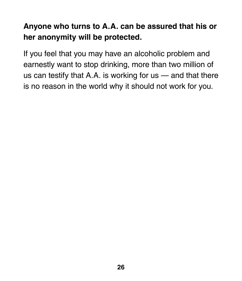#### **Anyone who turns to A.A. can be assured that his or her anonymity will be protected.**

If you feel that you may have an alcoholic problem and earnestly want to stop drinking, more than two million of us can testify that A.A. is working for  $us -$  and that there is no reason in the world why it should not work for you.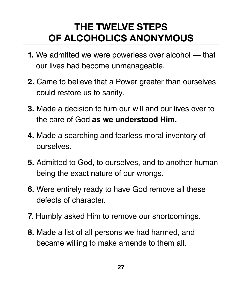### THE TWELVE STEPS OF ALCOHOLICS ANONYMOUS

- **1.** We admitted we were powerless over alcohol that our lives had become unmanageable.
- **2.** Came to believe that a Power greater than ourselves could restore us to sanity.
- **3.** Made a decision to turn our will and our lives over to the care of God **as we understood Him.**
- **4.** Made a searching and fearless moral inventory of ourselves.
- **5.** Admitted to God, to ourselves, and to another human being the exact nature of our wrongs.
- **6.** Were entirely ready to have God remove all these defects of character.
- **7.** Humbly asked Him to remove our shortcomings.
- **8.** Made a list of all persons we had harmed, and became willing to make amends to them all.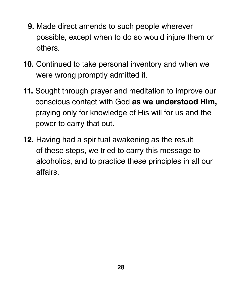- **9.** Made direct amends to such people wherever possible, except when to do so would injure them or others.
- **10.** Continued to take personal inventory and when we were wrong promptly admitted it.
- **11.** Sought through prayer and meditation to improve our conscious contact with God **as we understood Him,**  praying only for knowledge of His will for us and the power to carry that out.
- **12.** Having had a spiritual awakening as the result of these steps, we tried to carry this message to alcoholics, and to practice these principles in all our affairs.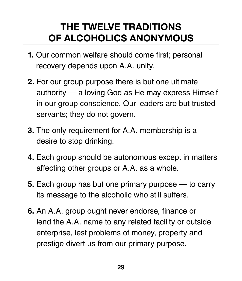### THE TWELVE TRADITIONS OF ALCOHOLICS ANONYMOUS

- **1.** Our common welfare should come first; personal recovery depends upon A.A. unity.
- **2.** For our group purpose there is but one ultimate authority — a loving God as He may express Himself in our group conscience. Our leaders are but trusted servants; they do not govern.
- **3.** The only requirement for A.A. membership is a desire to stop drinking.
- **4.** Each group should be autonomous except in matters affecting other groups or A.A. as a whole.
- **5.** Each group has but one primary purpose to carry its message to the alcoholic who still suffers.
- **6.** An A.A. group ought never endorse, finance or lend the A.A. name to any related facility or outside enterprise, lest problems of money, property and prestige divert us from our primary purpose.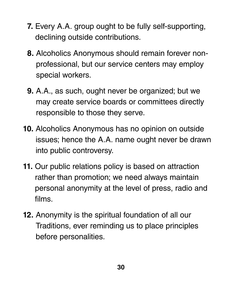- **7.** Every A.A. group ought to be fully self-supporting, declining outside contributions.
- **8.** Alcoholics Anonymous should remain forever nonprofessional, but our service centers may employ special workers.
- **9.** A.A., as such, ought never be organized; but we may create service boards or committees directly responsible to those they serve.
- **10.** Alcoholics Anonymous has no opinion on outside issues; hence the A.A. name ought never be drawn into public controversy.
- **11.** Our public relations policy is based on attraction rather than promotion; we need always maintain personal anonymity at the level of press, radio and films.
- **12.** Anonymity is the spiritual foundation of all our Traditions, ever reminding us to place principles before personalities.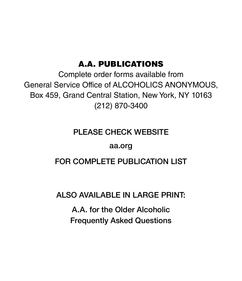#### A.A. PUBLICATIONS

Complete order forms available from General Service Office of ALCOHOLICS ANONYMOUS, Box 459, Grand Central Station, New York, NY 10163 (212) 870-3400

#### PLEASE CHECK WEBSITE

#### aa.org

#### FOR COMPLETE PUBLICATION LIST

#### ALSO AVAILABLE IN LARGE PRINT:

A.A. for the Older Alcoholic Frequently Asked Questions